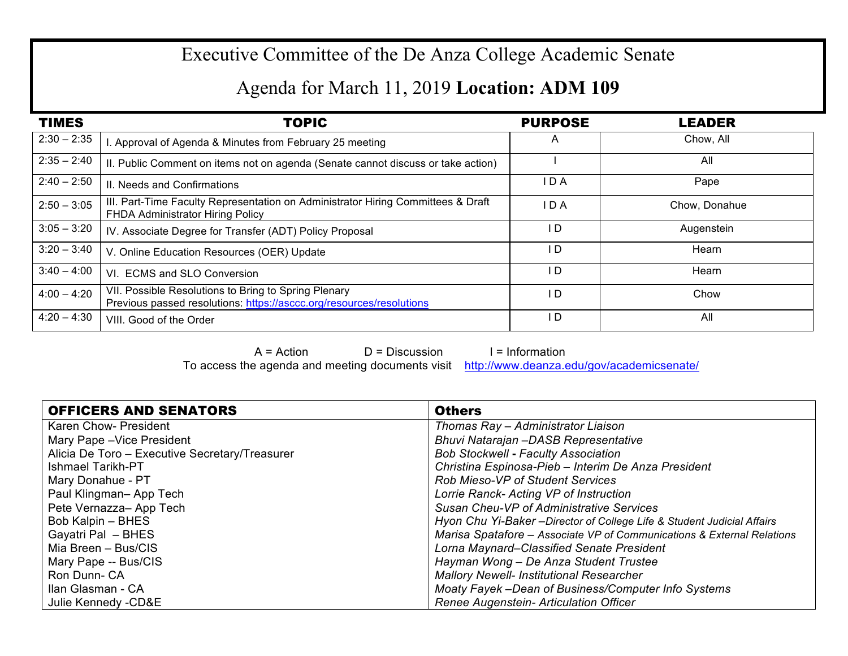## Executive Committee of the De Anza College Academic Senate

## Agenda for March 11, 2019 **Location: ADM 109**

| <b>TIMES</b>  | <b>TOPIC</b>                                                                                                                 | <b>PURPOSE</b> | <b>LEADER</b> |
|---------------|------------------------------------------------------------------------------------------------------------------------------|----------------|---------------|
| $2:30 - 2:35$ | . Approval of Agenda & Minutes from February 25 meeting                                                                      | $\overline{A}$ | Chow, All     |
| $2:35 - 2:40$ | II. Public Comment on items not on agenda (Senate cannot discuss or take action)                                             |                | All           |
| $2:40 - 2:50$ | II. Needs and Confirmations                                                                                                  | I D A          | Pape          |
| $2:50 - 3:05$ | III. Part-Time Faculty Representation on Administrator Hiring Committees & Draft<br>FHDA Administrator Hiring Policy         | I D A          | Chow, Donahue |
| $3:05 - 3:20$ | IV. Associate Degree for Transfer (ADT) Policy Proposal                                                                      | I D            | Augenstein    |
| $3:20 - 3:40$ | V. Online Education Resources (OER) Update                                                                                   | I D            | Hearn         |
| $3:40 - 4:00$ | VI. ECMS and SLO Conversion                                                                                                  | I D            | Hearn         |
| $4:00 - 4:20$ | VII. Possible Resolutions to Bring to Spring Plenary<br>Previous passed resolutions: https://asccc.org/resources/resolutions | I D            | Chow          |
| $4:20 - 4:30$ | VIII. Good of the Order                                                                                                      | I D            | All           |

 $A = Action$   $D = Discussion$  I = Information To access the agenda and meeting documents visit http://www.deanza.edu/gov/academicsenate/

| <b>OFFICERS AND SENATORS</b>                   | <b>Others</b>                                                           |
|------------------------------------------------|-------------------------------------------------------------------------|
| Karen Chow- President                          | Thomas Ray - Administrator Liaison                                      |
| Mary Pape - Vice President                     | Bhuvi Natarajan -DASB Representative                                    |
| Alicia De Toro - Executive Secretary/Treasurer | <b>Bob Stockwell - Faculty Association</b>                              |
| Ishmael Tarikh-PT                              | Christina Espinosa-Pieb - Interim De Anza President                     |
| Mary Donahue - PT                              | <b>Rob Mieso-VP of Student Services</b>                                 |
| Paul Klingman-App Tech                         | Lorrie Ranck- Acting VP of Instruction                                  |
| Pete Vernazza-App Tech                         | Susan Cheu-VP of Administrative Services                                |
| Bob Kalpin - BHES                              | Hyon Chu Yi-Baker - Director of College Life & Student Judicial Affairs |
| Gayatri Pal - BHES                             | Marisa Spatafore - Associate VP of Communications & External Relations  |
| Mia Breen - Bus/CIS                            | Lorna Maynard–Classified Senate President                               |
| Mary Pape -- Bus/CIS                           | Hayman Wong - De Anza Student Trustee                                   |
| Ron Dunn-CA                                    | <b>Mallory Newell- Institutional Researcher</b>                         |
| Ilan Glasman - CA                              | Moaty Fayek -Dean of Business/Computer Info Systems                     |
| Julie Kennedy - CD&E                           | Renee Augenstein- Articulation Officer                                  |